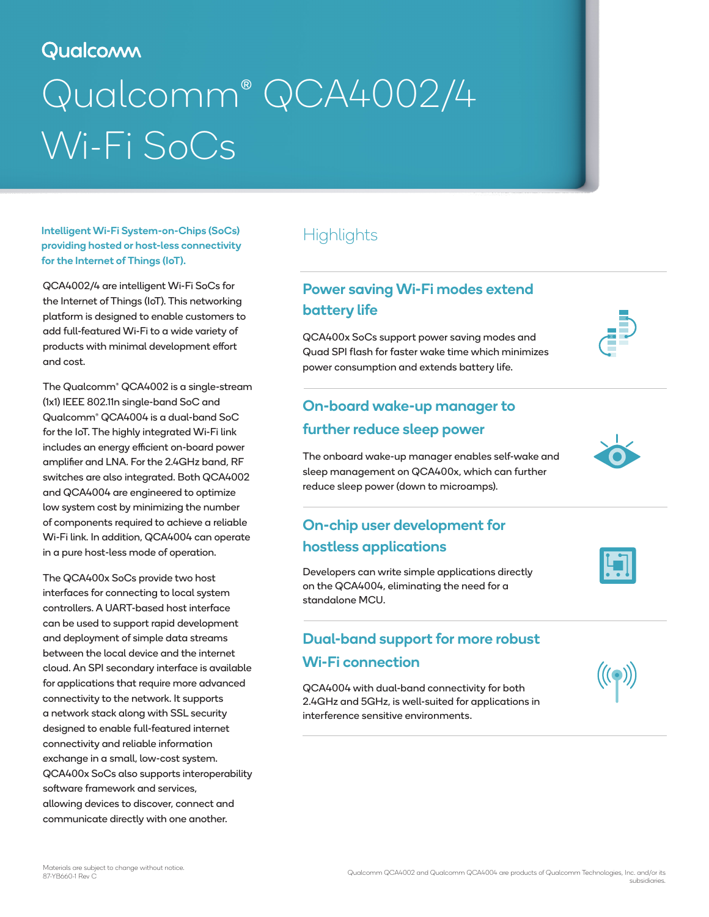# Qualcomm

# Qualcomm® QCA4002/4 Wi-Fi SoCs

Intelligent Wi-Fi System-on-Chips (SoCs) providing hosted or host-less connectivity for the Internet of Things (IoT).

QCA4002/4 are intelligent Wi-Fi SoCs for the Internet of Things (IoT). This networking platform is designed to enable customers to add full-featured Wi-Fi to a wide variety of products with minimal development effort and cost.

The Qualcomm® QCA4002 is a single-stream (1x1) IEEE 802.11n single-band SoC and Qualcomm® QCA4004 is a dual-band SoC for the IoT. The highly integrated Wi-Fi link includes an energy efficient on-board power amplifier and LNA. For the 2.4GHz band, RF switches are also integrated. Both QCA4002 and QCA4004 are engineered to optimize low system cost by minimizing the number of components required to achieve a reliable Wi-Fi link. In addition, QCA4004 can operate in a pure host-less mode of operation.

The QCA400x SoCs provide two host interfaces for connecting to local system controllers. A UART-based host interface can be used to support rapid development and deployment of simple data streams between the local device and the internet cloud. An SPI secondary interface is available for applications that require more advanced connectivity to the network. It supports a network stack along with SSL security designed to enable full-featured internet connectivity and reliable information exchange in a small, low-cost system. QCA400x SoCs also supports interoperability software framework and services, allowing devices to discover, connect and communicate directly with one another.

# **Highlights**

## Power saving Wi-Fi modes extend battery life

QCA400x SoCs support power saving modes and Quad SPI flash for faster wake time which minimizes power consumption and extends battery life.

## On-board wake-up manager to further reduce sleep power

The onboard wake-up manager enables self-wake and sleep management on QCA400x, which can further reduce sleep power (down to microamps).

## On-chip user development for hostless applications

Developers can write simple applications directly on the QCA4004, eliminating the need for a standalone MCU.

## Dual-band support for more robust Wi-Fi connection

QCA4004 with dual-band connectivity for both 2.4GHz and 5GHz, is well-suited for applications in interference sensitive environments.